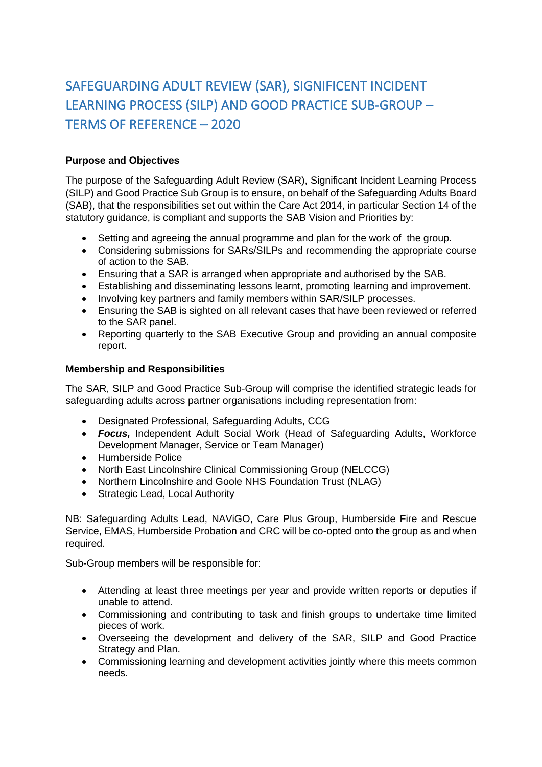# SAFEGUARDING ADULT REVIEW (SAR), SIGNIFICENT INCIDENT LEARNING PROCESS (SILP) AND GOOD PRACTICE SUB-GROUP – TERMS OF REFERENCE – 2020

# **Purpose and Objectives**

The purpose of the Safeguarding Adult Review (SAR), Significant Incident Learning Process (SILP) and Good Practice Sub Group is to ensure, on behalf of the Safeguarding Adults Board (SAB), that the responsibilities set out within the Care Act 2014, in particular Section 14 of the statutory guidance, is compliant and supports the SAB Vision and Priorities by:

- Setting and agreeing the annual programme and plan for the work of the group.
- Considering submissions for SARs/SILPs and recommending the appropriate course of action to the SAB.
- Ensuring that a SAR is arranged when appropriate and authorised by the SAB.
- Establishing and disseminating lessons learnt, promoting learning and improvement.
- Involving key partners and family members within SAR/SILP processes.
- Ensuring the SAB is sighted on all relevant cases that have been reviewed or referred to the SAR panel.
- Reporting quarterly to the SAB Executive Group and providing an annual composite report.

## **Membership and Responsibilities**

The SAR, SILP and Good Practice Sub-Group will comprise the identified strategic leads for safeguarding adults across partner organisations including representation from:

- Designated Professional, Safeguarding Adults, CCG
- *Focus,* Independent Adult Social Work (Head of Safeguarding Adults, Workforce Development Manager, Service or Team Manager)
- Humberside Police
- North East Lincolnshire Clinical Commissioning Group (NELCCG)
- Northern Lincolnshire and Goole NHS Foundation Trust (NLAG)
- Strategic Lead, Local Authority

NB: Safeguarding Adults Lead, NAViGO, Care Plus Group, Humberside Fire and Rescue Service, EMAS, Humberside Probation and CRC will be co-opted onto the group as and when required.

Sub-Group members will be responsible for:

- Attending at least three meetings per year and provide written reports or deputies if unable to attend.
- Commissioning and contributing to task and finish groups to undertake time limited pieces of work.
- Overseeing the development and delivery of the SAR, SILP and Good Practice Strategy and Plan.
- Commissioning learning and development activities jointly where this meets common needs.